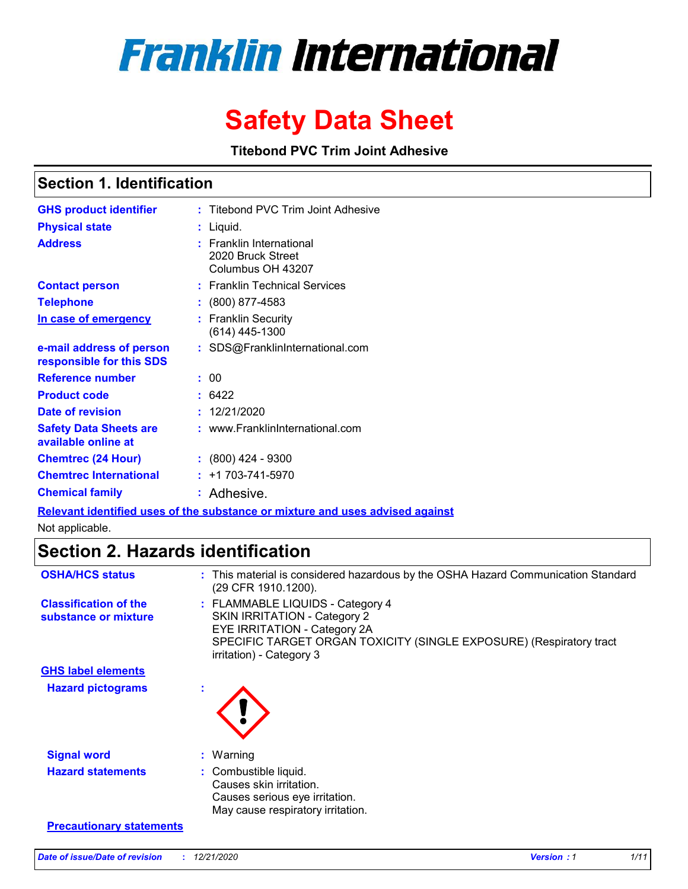# **Franklin International**

# **Safety Data Sheet**

**Titebond PVC Trim Joint Adhesive**

### **Section 1. Identification**

| <b>GHS product identifier</b>                        | : Titebond PVC Trim Joint Adhesive                                 |
|------------------------------------------------------|--------------------------------------------------------------------|
| <b>Physical state</b>                                | Liquid.                                                            |
| <b>Address</b>                                       | : Franklin International<br>2020 Bruck Street<br>Columbus OH 43207 |
| <b>Contact person</b>                                | : Franklin Technical Services                                      |
| <b>Telephone</b>                                     | $\colon$ (800) 877-4583                                            |
| In case of emergency                                 | : Franklin Security<br>(614) 445-1300                              |
| e-mail address of person<br>responsible for this SDS | : SDS@FranklinInternational.com                                    |
| Reference number                                     | : 00                                                               |
| <b>Product code</b>                                  | : 6422                                                             |
| Date of revision                                     | : 12/21/2020                                                       |
| <b>Safety Data Sheets are</b><br>available online at | : www.FranklinInternational.com                                    |
| <b>Chemtrec (24 Hour)</b>                            | : (800) 424 - 9300                                                 |
| <b>Chemtrec International</b>                        | $: +1703 - 741 - 5970$                                             |
| <b>Chemical family</b>                               | : Adhesive.                                                        |

**Relevant identified uses of the substance or mixture and uses advised against**

Not applicable.

# **Section 2. Hazards identification**

| <b>OSHA/HCS status</b>                               | : This material is considered hazardous by the OSHA Hazard Communication Standard<br>(29 CFR 1910.1200).                                                                                                   |
|------------------------------------------------------|------------------------------------------------------------------------------------------------------------------------------------------------------------------------------------------------------------|
| <b>Classification of the</b><br>substance or mixture | : FLAMMABLE LIQUIDS - Category 4<br><b>SKIN IRRITATION - Category 2</b><br>EYE IRRITATION - Category 2A<br>SPECIFIC TARGET ORGAN TOXICITY (SINGLE EXPOSURE) (Respiratory tract<br>irritation) - Category 3 |
| <b>GHS label elements</b>                            |                                                                                                                                                                                                            |
| <b>Hazard pictograms</b>                             |                                                                                                                                                                                                            |
| <b>Signal word</b>                                   | $:$ Warning                                                                                                                                                                                                |
| <b>Hazard statements</b>                             | : Combustible liquid.<br>Causes skin irritation.<br>Causes serious eye irritation.<br>May cause respiratory irritation.                                                                                    |
| <b>Precautionary statements</b>                      |                                                                                                                                                                                                            |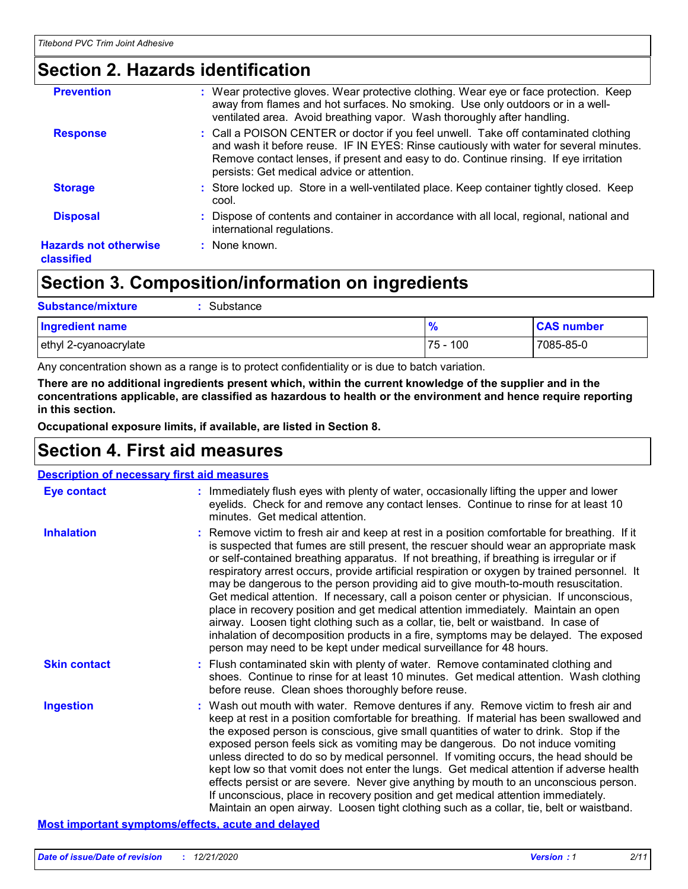# **Section 2. Hazards identification**

| : Wear protective gloves. Wear protective clothing. Wear eye or face protection. Keep<br>away from flames and hot surfaces. No smoking. Use only outdoors or in a well-<br>ventilated area. Avoid breathing vapor. Wash thoroughly after handling.                                                                   |
|----------------------------------------------------------------------------------------------------------------------------------------------------------------------------------------------------------------------------------------------------------------------------------------------------------------------|
| : Call a POISON CENTER or doctor if you feel unwell. Take off contaminated clothing<br>and wash it before reuse. IF IN EYES: Rinse cautiously with water for several minutes.<br>Remove contact lenses, if present and easy to do. Continue rinsing. If eye irritation<br>persists: Get medical advice or attention. |
| : Store locked up. Store in a well-ventilated place. Keep container tightly closed. Keep<br>cool.                                                                                                                                                                                                                    |
| Dispose of contents and container in accordance with all local, regional, national and<br>international regulations.                                                                                                                                                                                                 |
| $:$ None known.                                                                                                                                                                                                                                                                                                      |
|                                                                                                                                                                                                                                                                                                                      |

# **Section 3. Composition/information on ingredients**

| <b>Substance/mixture</b><br>Substance |               |                   |
|---------------------------------------|---------------|-------------------|
| <b>Ingredient name</b>                | $\frac{9}{6}$ | <b>CAS number</b> |
| ethyl 2-cyanoacrylate                 | 75 - 100      | 7085-85-0         |

Any concentration shown as a range is to protect confidentiality or is due to batch variation.

**There are no additional ingredients present which, within the current knowledge of the supplier and in the concentrations applicable, are classified as hazardous to health or the environment and hence require reporting in this section.**

**Occupational exposure limits, if available, are listed in Section 8.**

# **Section 4. First aid measures**

| <b>Description of necessary first aid measures</b> |                                                                                                                                                                                                                                                                                                                                                                                                                                                                                                                                                                                                                                                                                                                                                                                                                                                                                                                |  |  |  |
|----------------------------------------------------|----------------------------------------------------------------------------------------------------------------------------------------------------------------------------------------------------------------------------------------------------------------------------------------------------------------------------------------------------------------------------------------------------------------------------------------------------------------------------------------------------------------------------------------------------------------------------------------------------------------------------------------------------------------------------------------------------------------------------------------------------------------------------------------------------------------------------------------------------------------------------------------------------------------|--|--|--|
| <b>Eye contact</b>                                 | : Immediately flush eyes with plenty of water, occasionally lifting the upper and lower<br>eyelids. Check for and remove any contact lenses. Continue to rinse for at least 10<br>minutes. Get medical attention.                                                                                                                                                                                                                                                                                                                                                                                                                                                                                                                                                                                                                                                                                              |  |  |  |
| <b>Inhalation</b>                                  | : Remove victim to fresh air and keep at rest in a position comfortable for breathing. If it<br>is suspected that fumes are still present, the rescuer should wear an appropriate mask<br>or self-contained breathing apparatus. If not breathing, if breathing is irregular or if<br>respiratory arrest occurs, provide artificial respiration or oxygen by trained personnel. It<br>may be dangerous to the person providing aid to give mouth-to-mouth resuscitation.<br>Get medical attention. If necessary, call a poison center or physician. If unconscious,<br>place in recovery position and get medical attention immediately. Maintain an open<br>airway. Loosen tight clothing such as a collar, tie, belt or waistband. In case of<br>inhalation of decomposition products in a fire, symptoms may be delayed. The exposed<br>person may need to be kept under medical surveillance for 48 hours. |  |  |  |
| <b>Skin contact</b>                                | : Flush contaminated skin with plenty of water. Remove contaminated clothing and<br>shoes. Continue to rinse for at least 10 minutes. Get medical attention. Wash clothing<br>before reuse. Clean shoes thoroughly before reuse.                                                                                                                                                                                                                                                                                                                                                                                                                                                                                                                                                                                                                                                                               |  |  |  |
| <b>Ingestion</b>                                   | : Wash out mouth with water. Remove dentures if any. Remove victim to fresh air and<br>keep at rest in a position comfortable for breathing. If material has been swallowed and<br>the exposed person is conscious, give small quantities of water to drink. Stop if the<br>exposed person feels sick as vomiting may be dangerous. Do not induce vomiting<br>unless directed to do so by medical personnel. If vomiting occurs, the head should be<br>kept low so that vomit does not enter the lungs. Get medical attention if adverse health<br>effects persist or are severe. Never give anything by mouth to an unconscious person.<br>If unconscious, place in recovery position and get medical attention immediately.<br>Maintain an open airway. Loosen tight clothing such as a collar, tie, belt or waistband.                                                                                      |  |  |  |

#### **Most important symptoms/effects, acute and delayed**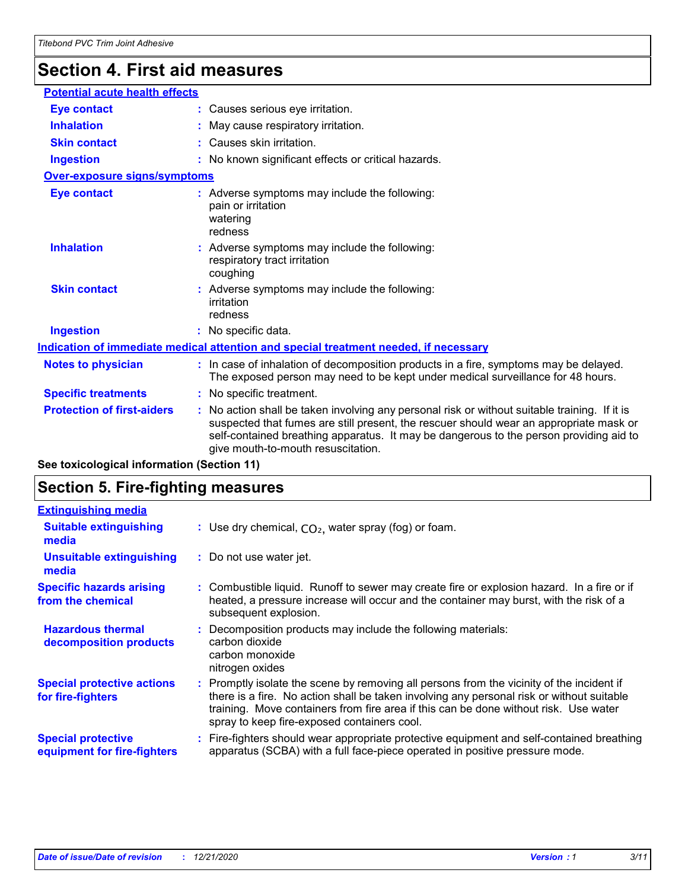# **Section 4. First aid measures**

| <b>Eye contact</b><br>: Causes serious eye irritation.<br><b>Inhalation</b><br>: May cause respiratory irritation.<br>: Causes skin irritation.<br><b>Skin contact</b><br><b>Ingestion</b><br>: No known significant effects or critical hazards.<br><b>Over-exposure signs/symptoms</b><br>: Adverse symptoms may include the following:<br><b>Eye contact</b><br>pain or irritation<br>watering<br>redness<br><b>Inhalation</b><br>: Adverse symptoms may include the following:<br>respiratory tract irritation<br>coughing<br><b>Skin contact</b><br>: Adverse symptoms may include the following:<br>irritation<br>redness<br><b>Ingestion</b><br>: No specific data.<br>Indication of immediate medical attention and special treatment needed, if necessary<br>: In case of inhalation of decomposition products in a fire, symptoms may be delayed.<br><b>Notes to physician</b><br>The exposed person may need to be kept under medical surveillance for 48 hours.<br><b>Specific treatments</b><br>: No specific treatment.<br><b>Protection of first-aiders</b><br>: No action shall be taken involving any personal risk or without suitable training. If it is<br>suspected that fumes are still present, the rescuer should wear an appropriate mask or<br>self-contained breathing apparatus. It may be dangerous to the person providing aid to<br>give mouth-to-mouth resuscitation. | <b>Potential acute health effects</b> |  |  |  |
|-------------------------------------------------------------------------------------------------------------------------------------------------------------------------------------------------------------------------------------------------------------------------------------------------------------------------------------------------------------------------------------------------------------------------------------------------------------------------------------------------------------------------------------------------------------------------------------------------------------------------------------------------------------------------------------------------------------------------------------------------------------------------------------------------------------------------------------------------------------------------------------------------------------------------------------------------------------------------------------------------------------------------------------------------------------------------------------------------------------------------------------------------------------------------------------------------------------------------------------------------------------------------------------------------------------------------------------------------------------------------------------------------------|---------------------------------------|--|--|--|
|                                                                                                                                                                                                                                                                                                                                                                                                                                                                                                                                                                                                                                                                                                                                                                                                                                                                                                                                                                                                                                                                                                                                                                                                                                                                                                                                                                                                       |                                       |  |  |  |
|                                                                                                                                                                                                                                                                                                                                                                                                                                                                                                                                                                                                                                                                                                                                                                                                                                                                                                                                                                                                                                                                                                                                                                                                                                                                                                                                                                                                       |                                       |  |  |  |
|                                                                                                                                                                                                                                                                                                                                                                                                                                                                                                                                                                                                                                                                                                                                                                                                                                                                                                                                                                                                                                                                                                                                                                                                                                                                                                                                                                                                       |                                       |  |  |  |
|                                                                                                                                                                                                                                                                                                                                                                                                                                                                                                                                                                                                                                                                                                                                                                                                                                                                                                                                                                                                                                                                                                                                                                                                                                                                                                                                                                                                       |                                       |  |  |  |
|                                                                                                                                                                                                                                                                                                                                                                                                                                                                                                                                                                                                                                                                                                                                                                                                                                                                                                                                                                                                                                                                                                                                                                                                                                                                                                                                                                                                       |                                       |  |  |  |
|                                                                                                                                                                                                                                                                                                                                                                                                                                                                                                                                                                                                                                                                                                                                                                                                                                                                                                                                                                                                                                                                                                                                                                                                                                                                                                                                                                                                       |                                       |  |  |  |
|                                                                                                                                                                                                                                                                                                                                                                                                                                                                                                                                                                                                                                                                                                                                                                                                                                                                                                                                                                                                                                                                                                                                                                                                                                                                                                                                                                                                       |                                       |  |  |  |
|                                                                                                                                                                                                                                                                                                                                                                                                                                                                                                                                                                                                                                                                                                                                                                                                                                                                                                                                                                                                                                                                                                                                                                                                                                                                                                                                                                                                       |                                       |  |  |  |
|                                                                                                                                                                                                                                                                                                                                                                                                                                                                                                                                                                                                                                                                                                                                                                                                                                                                                                                                                                                                                                                                                                                                                                                                                                                                                                                                                                                                       |                                       |  |  |  |
|                                                                                                                                                                                                                                                                                                                                                                                                                                                                                                                                                                                                                                                                                                                                                                                                                                                                                                                                                                                                                                                                                                                                                                                                                                                                                                                                                                                                       |                                       |  |  |  |
|                                                                                                                                                                                                                                                                                                                                                                                                                                                                                                                                                                                                                                                                                                                                                                                                                                                                                                                                                                                                                                                                                                                                                                                                                                                                                                                                                                                                       |                                       |  |  |  |
|                                                                                                                                                                                                                                                                                                                                                                                                                                                                                                                                                                                                                                                                                                                                                                                                                                                                                                                                                                                                                                                                                                                                                                                                                                                                                                                                                                                                       |                                       |  |  |  |
|                                                                                                                                                                                                                                                                                                                                                                                                                                                                                                                                                                                                                                                                                                                                                                                                                                                                                                                                                                                                                                                                                                                                                                                                                                                                                                                                                                                                       |                                       |  |  |  |

**See toxicological information (Section 11)**

### **Section 5. Fire-fighting measures**

| <b>Extinguishing media</b>                               |                                                                                                                                                                                                                                                                                                                               |
|----------------------------------------------------------|-------------------------------------------------------------------------------------------------------------------------------------------------------------------------------------------------------------------------------------------------------------------------------------------------------------------------------|
| <b>Suitable extinguishing</b><br>media                   | : Use dry chemical, $CO2$ , water spray (fog) or foam.                                                                                                                                                                                                                                                                        |
| <b>Unsuitable extinguishing</b><br>media                 | : Do not use water jet.                                                                                                                                                                                                                                                                                                       |
| <b>Specific hazards arising</b><br>from the chemical     | : Combustible liquid. Runoff to sewer may create fire or explosion hazard. In a fire or if<br>heated, a pressure increase will occur and the container may burst, with the risk of a<br>subsequent explosion.                                                                                                                 |
| <b>Hazardous thermal</b><br>decomposition products       | Decomposition products may include the following materials:<br>carbon dioxide<br>carbon monoxide<br>nitrogen oxides                                                                                                                                                                                                           |
| <b>Special protective actions</b><br>for fire-fighters   | : Promptly isolate the scene by removing all persons from the vicinity of the incident if<br>there is a fire. No action shall be taken involving any personal risk or without suitable<br>training. Move containers from fire area if this can be done without risk. Use water<br>spray to keep fire-exposed containers cool. |
| <b>Special protective</b><br>equipment for fire-fighters | : Fire-fighters should wear appropriate protective equipment and self-contained breathing<br>apparatus (SCBA) with a full face-piece operated in positive pressure mode.                                                                                                                                                      |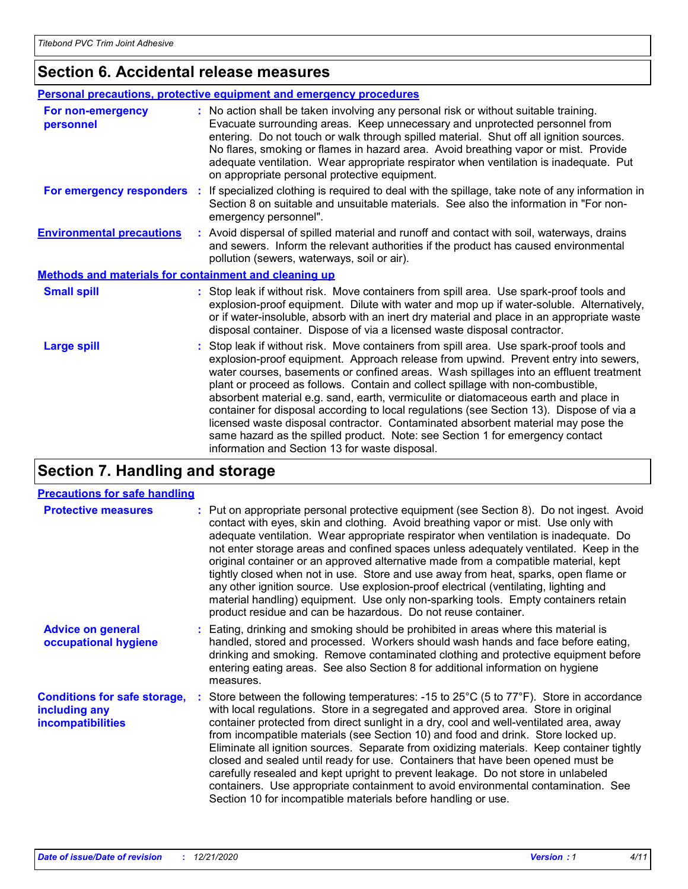# **Section 6. Accidental release measures**

| Personal precautions, protective equipment and emergency procedures |                                                                                                                                                                                                                                                                                                                                                                                                                                                                                                                                                                                                                                                                                                                                                                    |  |
|---------------------------------------------------------------------|--------------------------------------------------------------------------------------------------------------------------------------------------------------------------------------------------------------------------------------------------------------------------------------------------------------------------------------------------------------------------------------------------------------------------------------------------------------------------------------------------------------------------------------------------------------------------------------------------------------------------------------------------------------------------------------------------------------------------------------------------------------------|--|
| For non-emergency<br>personnel                                      | : No action shall be taken involving any personal risk or without suitable training.<br>Evacuate surrounding areas. Keep unnecessary and unprotected personnel from<br>entering. Do not touch or walk through spilled material. Shut off all ignition sources.<br>No flares, smoking or flames in hazard area. Avoid breathing vapor or mist. Provide<br>adequate ventilation. Wear appropriate respirator when ventilation is inadequate. Put<br>on appropriate personal protective equipment.                                                                                                                                                                                                                                                                    |  |
| For emergency responders :                                          | If specialized clothing is required to deal with the spillage, take note of any information in<br>Section 8 on suitable and unsuitable materials. See also the information in "For non-<br>emergency personnel".                                                                                                                                                                                                                                                                                                                                                                                                                                                                                                                                                   |  |
| <b>Environmental precautions</b>                                    | : Avoid dispersal of spilled material and runoff and contact with soil, waterways, drains<br>and sewers. Inform the relevant authorities if the product has caused environmental<br>pollution (sewers, waterways, soil or air).                                                                                                                                                                                                                                                                                                                                                                                                                                                                                                                                    |  |
| Methods and materials for containment and cleaning up               |                                                                                                                                                                                                                                                                                                                                                                                                                                                                                                                                                                                                                                                                                                                                                                    |  |
| <b>Small spill</b>                                                  | : Stop leak if without risk. Move containers from spill area. Use spark-proof tools and<br>explosion-proof equipment. Dilute with water and mop up if water-soluble. Alternatively,<br>or if water-insoluble, absorb with an inert dry material and place in an appropriate waste<br>disposal container. Dispose of via a licensed waste disposal contractor.                                                                                                                                                                                                                                                                                                                                                                                                      |  |
| <b>Large spill</b>                                                  | Stop leak if without risk. Move containers from spill area. Use spark-proof tools and<br>explosion-proof equipment. Approach release from upwind. Prevent entry into sewers,<br>water courses, basements or confined areas. Wash spillages into an effluent treatment<br>plant or proceed as follows. Contain and collect spillage with non-combustible,<br>absorbent material e.g. sand, earth, vermiculite or diatomaceous earth and place in<br>container for disposal according to local regulations (see Section 13). Dispose of via a<br>licensed waste disposal contractor. Contaminated absorbent material may pose the<br>same hazard as the spilled product. Note: see Section 1 for emergency contact<br>information and Section 13 for waste disposal. |  |

# **Section 7. Handling and storage**

#### **Precautions for safe handling**

| <b>Protective measures</b>                                                       | : Put on appropriate personal protective equipment (see Section 8). Do not ingest. Avoid<br>contact with eyes, skin and clothing. Avoid breathing vapor or mist. Use only with<br>adequate ventilation. Wear appropriate respirator when ventilation is inadequate. Do<br>not enter storage areas and confined spaces unless adequately ventilated. Keep in the<br>original container or an approved alternative made from a compatible material, kept<br>tightly closed when not in use. Store and use away from heat, sparks, open flame or<br>any other ignition source. Use explosion-proof electrical (ventilating, lighting and<br>material handling) equipment. Use only non-sparking tools. Empty containers retain<br>product residue and can be hazardous. Do not reuse container.                 |
|----------------------------------------------------------------------------------|--------------------------------------------------------------------------------------------------------------------------------------------------------------------------------------------------------------------------------------------------------------------------------------------------------------------------------------------------------------------------------------------------------------------------------------------------------------------------------------------------------------------------------------------------------------------------------------------------------------------------------------------------------------------------------------------------------------------------------------------------------------------------------------------------------------|
| <b>Advice on general</b><br>occupational hygiene                                 | : Eating, drinking and smoking should be prohibited in areas where this material is<br>handled, stored and processed. Workers should wash hands and face before eating,<br>drinking and smoking. Remove contaminated clothing and protective equipment before<br>entering eating areas. See also Section 8 for additional information on hygiene<br>measures.                                                                                                                                                                                                                                                                                                                                                                                                                                                |
| <b>Conditions for safe storage,</b><br>including any<br><i>incompatibilities</i> | : Store between the following temperatures: -15 to $25^{\circ}$ C (5 to $77^{\circ}$ F). Store in accordance<br>with local regulations. Store in a segregated and approved area. Store in original<br>container protected from direct sunlight in a dry, cool and well-ventilated area, away<br>from incompatible materials (see Section 10) and food and drink. Store locked up.<br>Eliminate all ignition sources. Separate from oxidizing materials. Keep container tightly<br>closed and sealed until ready for use. Containers that have been opened must be<br>carefully resealed and kept upright to prevent leakage. Do not store in unlabeled<br>containers. Use appropriate containment to avoid environmental contamination. See<br>Section 10 for incompatible materials before handling or use. |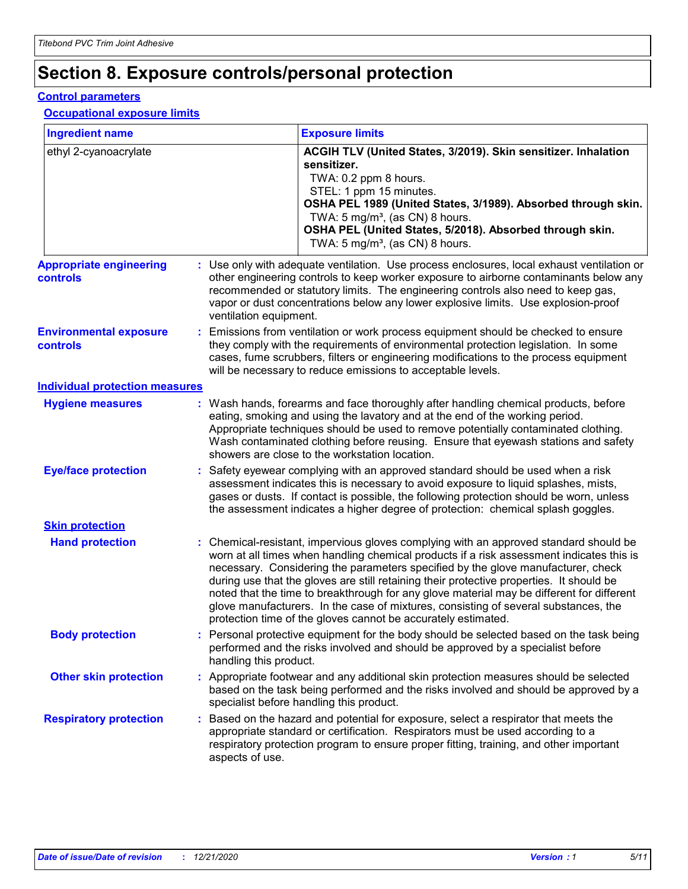# **Section 8. Exposure controls/personal protection**

#### **Control parameters**

#### **Occupational exposure limits**

| <b>Ingredient name</b>                     |  |                        | <b>Exposure limits</b>                                                                                                                                                                                                                                                                                                                                                                                                                                                                                                                                                                                                 |  |
|--------------------------------------------|--|------------------------|------------------------------------------------------------------------------------------------------------------------------------------------------------------------------------------------------------------------------------------------------------------------------------------------------------------------------------------------------------------------------------------------------------------------------------------------------------------------------------------------------------------------------------------------------------------------------------------------------------------------|--|
| ethyl 2-cyanoacrylate                      |  |                        | ACGIH TLV (United States, 3/2019). Skin sensitizer. Inhalation<br>sensitizer.<br>TWA: 0.2 ppm 8 hours.<br>STEL: 1 ppm 15 minutes.<br>OSHA PEL 1989 (United States, 3/1989). Absorbed through skin.<br>TWA: 5 mg/m <sup>3</sup> , (as CN) 8 hours.<br>OSHA PEL (United States, 5/2018). Absorbed through skin.<br>TWA: $5 \text{ mg/m}^3$ , (as CN) 8 hours.                                                                                                                                                                                                                                                            |  |
| <b>Appropriate engineering</b><br>controls |  | ventilation equipment. | : Use only with adequate ventilation. Use process enclosures, local exhaust ventilation or<br>other engineering controls to keep worker exposure to airborne contaminants below any<br>recommended or statutory limits. The engineering controls also need to keep gas,<br>vapor or dust concentrations below any lower explosive limits. Use explosion-proof                                                                                                                                                                                                                                                          |  |
| <b>Environmental exposure</b><br>controls  |  |                        | Emissions from ventilation or work process equipment should be checked to ensure<br>they comply with the requirements of environmental protection legislation. In some<br>cases, fume scrubbers, filters or engineering modifications to the process equipment<br>will be necessary to reduce emissions to acceptable levels.                                                                                                                                                                                                                                                                                          |  |
| <b>Individual protection measures</b>      |  |                        |                                                                                                                                                                                                                                                                                                                                                                                                                                                                                                                                                                                                                        |  |
| <b>Hygiene measures</b>                    |  |                        | : Wash hands, forearms and face thoroughly after handling chemical products, before<br>eating, smoking and using the lavatory and at the end of the working period.<br>Appropriate techniques should be used to remove potentially contaminated clothing.<br>Wash contaminated clothing before reusing. Ensure that eyewash stations and safety<br>showers are close to the workstation location.                                                                                                                                                                                                                      |  |
| <b>Eye/face protection</b>                 |  |                        | : Safety eyewear complying with an approved standard should be used when a risk<br>assessment indicates this is necessary to avoid exposure to liquid splashes, mists,<br>gases or dusts. If contact is possible, the following protection should be worn, unless<br>the assessment indicates a higher degree of protection: chemical splash goggles.                                                                                                                                                                                                                                                                  |  |
| <b>Skin protection</b>                     |  |                        |                                                                                                                                                                                                                                                                                                                                                                                                                                                                                                                                                                                                                        |  |
| <b>Hand protection</b>                     |  |                        | : Chemical-resistant, impervious gloves complying with an approved standard should be<br>worn at all times when handling chemical products if a risk assessment indicates this is<br>necessary. Considering the parameters specified by the glove manufacturer, check<br>during use that the gloves are still retaining their protective properties. It should be<br>noted that the time to breakthrough for any glove material may be different for different<br>glove manufacturers. In the case of mixtures, consisting of several substances, the<br>protection time of the gloves cannot be accurately estimated. |  |
| <b>Body protection</b>                     |  | handling this product. | : Personal protective equipment for the body should be selected based on the task being<br>performed and the risks involved and should be approved by a specialist before                                                                                                                                                                                                                                                                                                                                                                                                                                              |  |
| <b>Other skin protection</b>               |  |                        | : Appropriate footwear and any additional skin protection measures should be selected<br>based on the task being performed and the risks involved and should be approved by a<br>specialist before handling this product.                                                                                                                                                                                                                                                                                                                                                                                              |  |
| <b>Respiratory protection</b>              |  | aspects of use.        | : Based on the hazard and potential for exposure, select a respirator that meets the<br>appropriate standard or certification. Respirators must be used according to a<br>respiratory protection program to ensure proper fitting, training, and other important                                                                                                                                                                                                                                                                                                                                                       |  |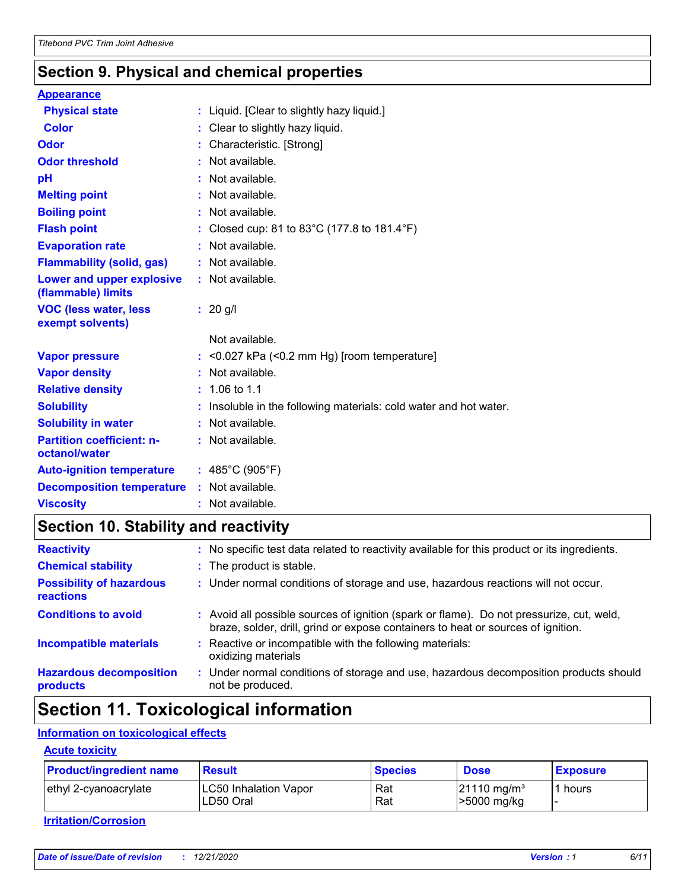# **Section 9. Physical and chemical properties**

| <b>Appearance</b>                                 |                                                                 |
|---------------------------------------------------|-----------------------------------------------------------------|
| <b>Physical state</b>                             | : Liquid. [Clear to slightly hazy liquid.]                      |
| <b>Color</b>                                      | : Clear to slightly hazy liquid.                                |
| <b>Odor</b>                                       | : Characteristic. [Strong]                                      |
| <b>Odor threshold</b>                             | : Not available.                                                |
| pH                                                | : Not available.                                                |
| <b>Melting point</b>                              | : Not available.                                                |
| <b>Boiling point</b>                              | : Not available.                                                |
| <b>Flash point</b>                                | : Closed cup: 81 to 83°C (177.8 to 181.4°F)                     |
| <b>Evaporation rate</b>                           | $:$ Not available.                                              |
| <b>Flammability (solid, gas)</b>                  | : Not available.                                                |
| Lower and upper explosive<br>(flammable) limits   | : Not available.                                                |
| <b>VOC (less water, less</b><br>exempt solvents)  | $: 20$ g/l                                                      |
|                                                   | Not available.                                                  |
| <b>Vapor pressure</b>                             | $:$ <0.027 kPa (<0.2 mm Hg) [room temperature]                  |
| <b>Vapor density</b>                              | : Not available.                                                |
| <b>Relative density</b>                           | $: 1.06 \text{ to } 1.1$                                        |
| <b>Solubility</b>                                 | Insoluble in the following materials: cold water and hot water. |
| <b>Solubility in water</b>                        | : Not available.                                                |
| <b>Partition coefficient: n-</b><br>octanol/water | : Not available.                                                |
| <b>Auto-ignition temperature</b>                  | : $485^{\circ}$ C (905 $^{\circ}$ F)                            |
| <b>Decomposition temperature</b>                  | : Not available.                                                |
| <b>Viscosity</b>                                  | : Not available.                                                |

# **Section 10. Stability and reactivity**

| <b>Reactivity</b>                                   | ÷. | No specific test data related to reactivity available for this product or its ingredients.                                                                                   |
|-----------------------------------------------------|----|------------------------------------------------------------------------------------------------------------------------------------------------------------------------------|
| <b>Chemical stability</b>                           |    | : The product is stable.                                                                                                                                                     |
| <b>Possibility of hazardous</b><br><b>reactions</b> |    | : Under normal conditions of storage and use, hazardous reactions will not occur.                                                                                            |
| <b>Conditions to avoid</b>                          |    | : Avoid all possible sources of ignition (spark or flame). Do not pressurize, cut, weld,<br>braze, solder, drill, grind or expose containers to heat or sources of ignition. |
| <b>Incompatible materials</b>                       |    | Reactive or incompatible with the following materials:<br>oxidizing materials                                                                                                |
| <b>Hazardous decomposition</b><br>products          |    | Under normal conditions of storage and use, hazardous decomposition products should<br>not be produced.                                                                      |

# **Section 11. Toxicological information**

#### **Information on toxicological effects**

#### **Acute toxicity**

| <b>Product/ingredient name</b> | <b>Result</b>                             | <b>Species</b> | <b>Dose</b>                              | <b>Exposure</b> |
|--------------------------------|-------------------------------------------|----------------|------------------------------------------|-----------------|
| ethyl 2-cyanoacrylate          | <b>LC50 Inhalation Vapor</b><br>LD50 Oral | Rat<br>Rat     | $21110$ mg/m <sup>3</sup><br>>5000 mg/kg | 1 hours         |

#### **Irritation/Corrosion**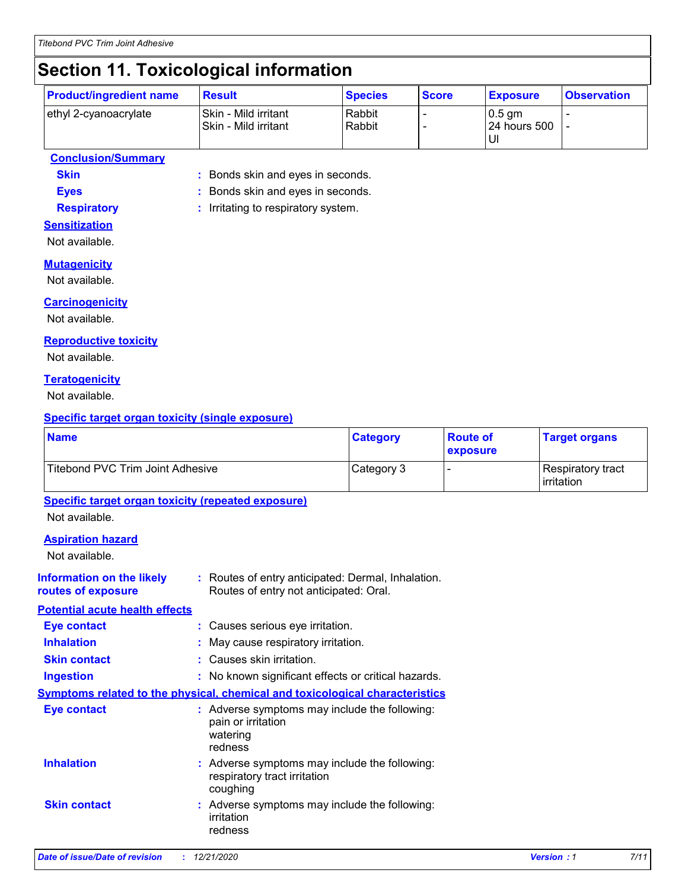# **Section 11. Toxicological information**

| <b>Product/ingredient name</b> | <b>Result</b>                                 | <b>Species</b>   | <b>Score</b> | <b>Exposure</b>            | <b>Observation</b> |
|--------------------------------|-----------------------------------------------|------------------|--------------|----------------------------|--------------------|
| ethyl 2-cyanoacrylate          | Skin - Mild irritant<br> Skin - Mild irritant | Rabbit<br>Rabbit |              | l 0.5 am<br>l 24 hours 500 |                    |

#### **Conclusion/Summary**

**Skin :** Bonds skin and eyes in seconds.

**Eyes :** Bonds skin and eyes in seconds.

**Respiratory :** Irritating to respiratory system.

#### **Sensitization**

Not available.

#### **Mutagenicity**

Not available.

#### **Carcinogenicity**

Not available.

#### **Reproductive toxicity**

Not available.

#### **Teratogenicity**

Not available.

#### **Specific target organ toxicity (single exposure)**

| <b>Name</b>                                                                         |                                                     | <b>Category</b>                                    | <b>Route of</b> | <b>Target organs</b>            |
|-------------------------------------------------------------------------------------|-----------------------------------------------------|----------------------------------------------------|-----------------|---------------------------------|
| Titebond PVC Trim Joint Adhesive                                                    |                                                     | Category 3                                         | exposure        | Respiratory tract<br>irritation |
| <b>Specific target organ toxicity (repeated exposure)</b><br>Not available.         |                                                     |                                                    |                 |                                 |
| <b>Aspiration hazard</b><br>Not available.                                          |                                                     |                                                    |                 |                                 |
| <b>Information on the likely</b><br>routes of exposure                              | Routes of entry not anticipated: Oral.              | : Routes of entry anticipated: Dermal, Inhalation. |                 |                                 |
| <b>Potential acute health effects</b>                                               |                                                     |                                                    |                 |                                 |
| <b>Eye contact</b>                                                                  | : Causes serious eye irritation.                    |                                                    |                 |                                 |
| <b>Inhalation</b>                                                                   | : May cause respiratory irritation.                 |                                                    |                 |                                 |
| <b>Skin contact</b>                                                                 | : Causes skin irritation.                           |                                                    |                 |                                 |
| <b>Ingestion</b>                                                                    | : No known significant effects or critical hazards. |                                                    |                 |                                 |
| <b>Symptoms related to the physical, chemical and toxicological characteristics</b> |                                                     |                                                    |                 |                                 |
| <b>Eye contact</b>                                                                  | pain or irritation<br>watering<br>redness           | : Adverse symptoms may include the following:      |                 |                                 |
| <b>Inhalation</b>                                                                   | respiratory tract irritation<br>coughing            | : Adverse symptoms may include the following:      |                 |                                 |

**Skin contact** coughing Adverse symptoms may include the following: **:** irritation redness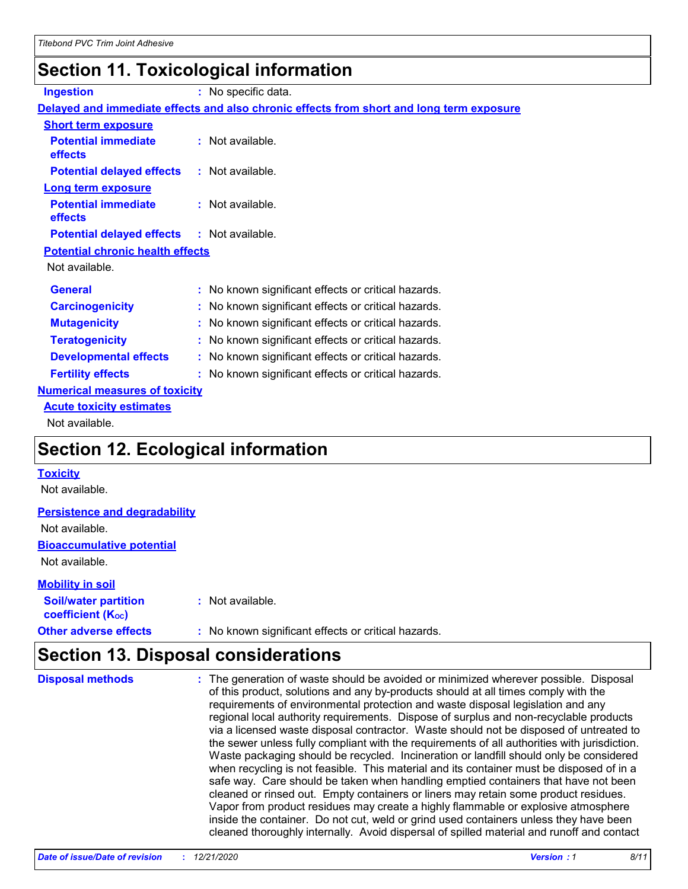# **Section 11. Toxicological information**

| <b>Ingestion</b>                          | : No specific data.                                                                      |
|-------------------------------------------|------------------------------------------------------------------------------------------|
|                                           | Delayed and immediate effects and also chronic effects from short and long term exposure |
| <b>Short term exposure</b>                |                                                                                          |
| <b>Potential immediate</b><br>effects     | : Not available.                                                                         |
| <b>Potential delayed effects</b>          | : Not available.                                                                         |
| <b>Long term exposure</b>                 |                                                                                          |
| <b>Potential immediate</b><br>effects     | $:$ Not available.                                                                       |
| <b>Potential delayed effects</b>          | $:$ Not available.                                                                       |
| <b>Potential chronic health effects</b>   |                                                                                          |
| Not available.                            |                                                                                          |
| <b>General</b>                            | : No known significant effects or critical hazards.                                      |
| <b>Carcinogenicity</b>                    | No known significant effects or critical hazards.                                        |
| <b>Mutagenicity</b>                       | No known significant effects or critical hazards.                                        |
| <b>Teratogenicity</b>                     | No known significant effects or critical hazards.                                        |
| <b>Developmental effects</b>              | : No known significant effects or critical hazards.                                      |
| <b>Fertility effects</b>                  | No known significant effects or critical hazards.                                        |
| <b>Numerical measures of toxicity</b>     |                                                                                          |
| <b>Acute toxicity estimates</b>           |                                                                                          |
| Not available.                            |                                                                                          |
| <b>Section 12. Ecological information</b> |                                                                                          |

#### **Toxicity**

Not available.

#### **Persistence and degradability**

Not available.

**Bioaccumulative potential**

Not available.

#### **Mobility in soil**

| <b>Soil/water partition</b><br>coefficient (K <sub>oc</sub> ) | : Not available.                                    |
|---------------------------------------------------------------|-----------------------------------------------------|
| <b>Other adverse effects</b>                                  | : No known significant effects or critical hazards. |

# **Section 13. Disposal considerations**

| <b>Disposal methods</b> | : The generation of waste should be avoided or minimized wherever possible. Disposal<br>of this product, solutions and any by-products should at all times comply with the<br>requirements of environmental protection and waste disposal legislation and any<br>regional local authority requirements. Dispose of surplus and non-recyclable products<br>via a licensed waste disposal contractor. Waste should not be disposed of untreated to<br>the sewer unless fully compliant with the requirements of all authorities with jurisdiction.<br>Waste packaging should be recycled. Incineration or landfill should only be considered<br>when recycling is not feasible. This material and its container must be disposed of in a<br>safe way. Care should be taken when handling emptied containers that have not been<br>cleaned or rinsed out. Empty containers or liners may retain some product residues.<br>Vapor from product residues may create a highly flammable or explosive atmosphere<br>inside the container. Do not cut, weld or grind used containers unless they have been |
|-------------------------|---------------------------------------------------------------------------------------------------------------------------------------------------------------------------------------------------------------------------------------------------------------------------------------------------------------------------------------------------------------------------------------------------------------------------------------------------------------------------------------------------------------------------------------------------------------------------------------------------------------------------------------------------------------------------------------------------------------------------------------------------------------------------------------------------------------------------------------------------------------------------------------------------------------------------------------------------------------------------------------------------------------------------------------------------------------------------------------------------|
|                         | cleaned thoroughly internally. Avoid dispersal of spilled material and runoff and contact                                                                                                                                                                                                                                                                                                                                                                                                                                                                                                                                                                                                                                                                                                                                                                                                                                                                                                                                                                                                         |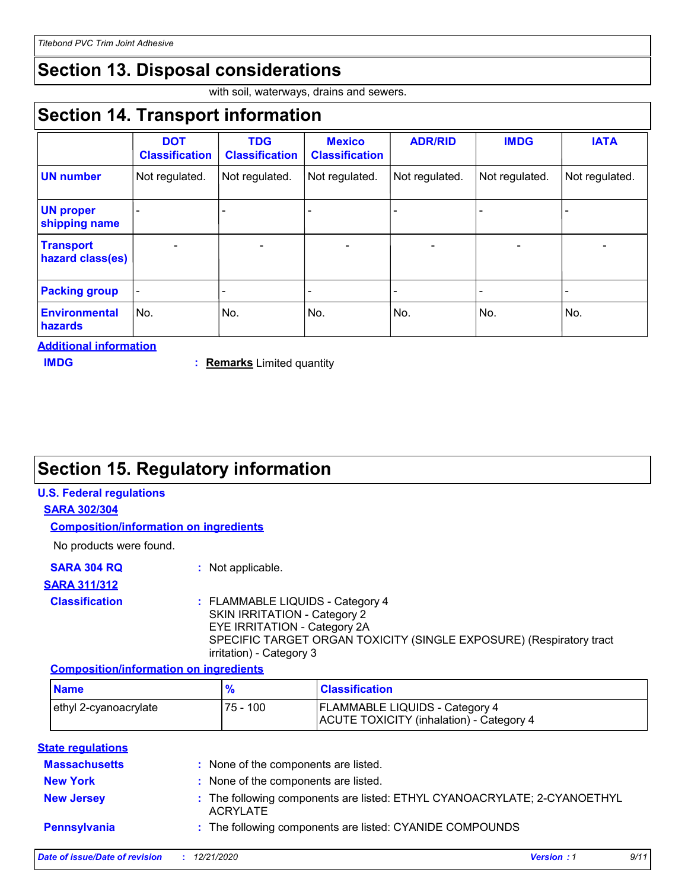# **Section 13. Disposal considerations**

with soil, waterways, drains and sewers.

# **Section 14. Transport information**

|                                      | <b>DOT</b><br><b>Classification</b> | <b>TDG</b><br><b>Classification</b> | <b>Mexico</b><br><b>Classification</b> | <b>ADR/RID</b> | <b>IMDG</b>    | <b>IATA</b>              |
|--------------------------------------|-------------------------------------|-------------------------------------|----------------------------------------|----------------|----------------|--------------------------|
| <b>UN number</b>                     | Not regulated.                      | Not regulated.                      | Not regulated.                         | Not regulated. | Not regulated. | Not regulated.           |
| <b>UN proper</b><br>shipping name    |                                     |                                     |                                        |                |                |                          |
| <b>Transport</b><br>hazard class(es) |                                     |                                     |                                        |                |                | $\overline{\phantom{0}}$ |
| <b>Packing group</b>                 |                                     |                                     |                                        |                |                |                          |
| <b>Environmental</b><br>hazards      | No.                                 | No.                                 | No.                                    | No.            | No.            | No.                      |

**Additional information**

**Remarks** Limited quantity **IMDG :** 

# **Section 15. Regulatory information**

#### **U.S. Federal regulations**

#### **SARA 302/304**

**Composition/information on ingredients**

No products were found.

| <b>SARA 304 RQ</b> | : Not applicable. |
|--------------------|-------------------|
|--------------------|-------------------|

#### **SARA 311/312**

#### **Classification :** FLAMMABLE LIQUIDS - Category 4 SKIN IRRITATION - Category 2 EYE IRRITATION - Category 2A SPECIFIC TARGET ORGAN TOXICITY (SINGLE EXPOSURE) (Respiratory tract irritation) - Category 3

#### **Composition/information on ingredients**

| <b>Name</b>           | $\mathbf{o}_t$ | <b>Classification</b>                                                             |
|-----------------------|----------------|-----------------------------------------------------------------------------------|
| ethyl 2-cyanoacrylate | $75 - 100$     | <b>FLAMMABLE LIQUIDS - Category 4</b><br>ACUTE TOXICITY (inhalation) - Category 4 |

#### **State regulations**

| <b>Massachusetts</b> | : None of the components are listed.                                                        |
|----------------------|---------------------------------------------------------------------------------------------|
| <b>New York</b>      | : None of the components are listed.                                                        |
| <b>New Jersey</b>    | : The following components are listed: ETHYL CYANOACRYLATE; 2-CYANOETHYL<br><b>ACRYLATE</b> |
| Pennsylvania         | : The following components are listed: CYANIDE COMPOUNDS                                    |
|                      | 7.111<br>.                                                                                  |

| Date of issue/Date of revision | <i>12/21/2020</i> | <b>Version: 1</b> |  |
|--------------------------------|-------------------|-------------------|--|
|                                |                   |                   |  |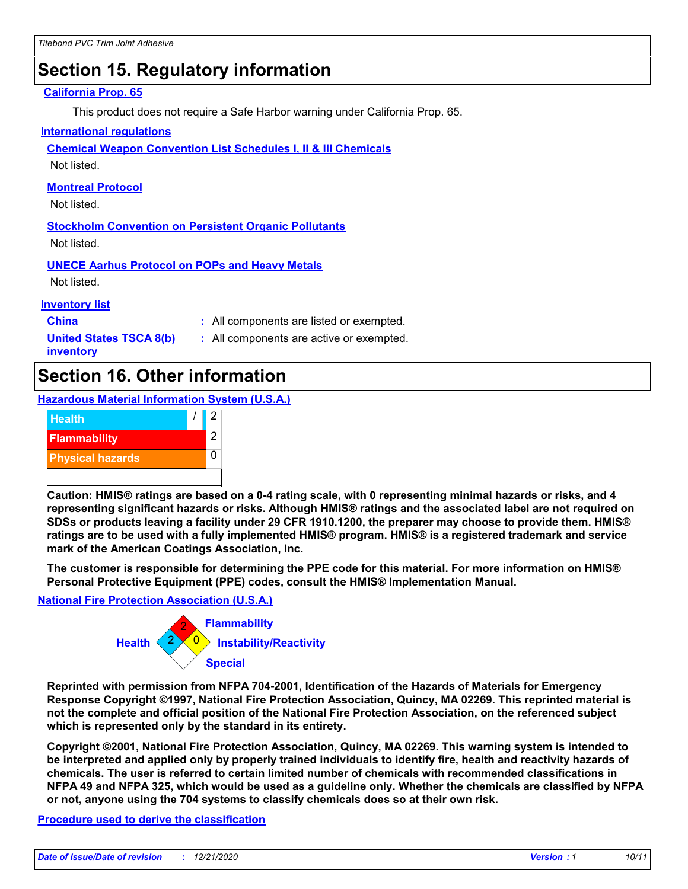# **Section 15. Regulatory information**

#### **California Prop. 65**

This product does not require a Safe Harbor warning under California Prop. 65.

#### **International regulations**

**Chemical Weapon Convention List Schedules I, II & III Chemicals**

Not listed.

#### **Montreal Protocol**

Not listed.

**Stockholm Convention on Persistent Organic Pollutants** Not listed.

**UNECE Aarhus Protocol on POPs and Heavy Metals**

Not listed.

#### **Inventory list**

**China :** All components are listed or exempted.

**United States TSCA 8(b) inventory**

**:** All components are active or exempted.

### **Section 16. Other information**

**Hazardous Material Information System (U.S.A.)**



**Caution: HMIS® ratings are based on a 0-4 rating scale, with 0 representing minimal hazards or risks, and 4 representing significant hazards or risks. Although HMIS® ratings and the associated label are not required on SDSs or products leaving a facility under 29 CFR 1910.1200, the preparer may choose to provide them. HMIS® ratings are to be used with a fully implemented HMIS® program. HMIS® is a registered trademark and service mark of the American Coatings Association, Inc.**

**The customer is responsible for determining the PPE code for this material. For more information on HMIS® Personal Protective Equipment (PPE) codes, consult the HMIS® Implementation Manual.**

#### **National Fire Protection Association (U.S.A.)**



**Reprinted with permission from NFPA 704-2001, Identification of the Hazards of Materials for Emergency Response Copyright ©1997, National Fire Protection Association, Quincy, MA 02269. This reprinted material is not the complete and official position of the National Fire Protection Association, on the referenced subject which is represented only by the standard in its entirety.**

**Copyright ©2001, National Fire Protection Association, Quincy, MA 02269. This warning system is intended to be interpreted and applied only by properly trained individuals to identify fire, health and reactivity hazards of chemicals. The user is referred to certain limited number of chemicals with recommended classifications in NFPA 49 and NFPA 325, which would be used as a guideline only. Whether the chemicals are classified by NFPA or not, anyone using the 704 systems to classify chemicals does so at their own risk.**

#### **Procedure used to derive the classification**